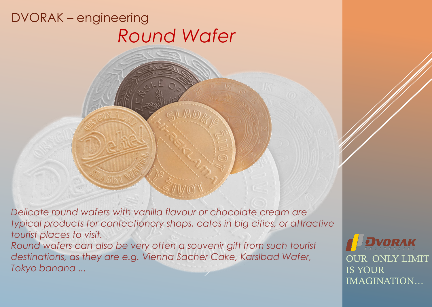*Delicate round wafers with vanilla flavour or chocolate cream are typical products for confectionery shops, cafes in big cities, or attractive tourist places to visit.*

*Round wafers can also be very often a souvenir gift from such tourist destinations, as they are e.g. Vienna Sacher Cake, Karslbad Wafer, Tokyo banana ...* 

**DRAK** OUR ONLY LIMIT IS YOUR IMAGINATION…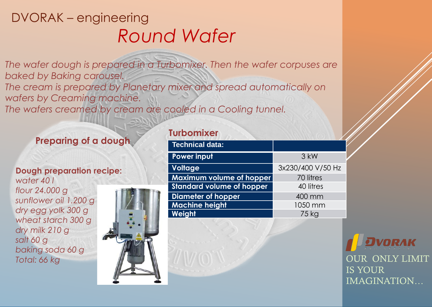The wafer dough is prepared in a Turbomixer. Then the wafer corpuses are *baked by Baking carousel. The cream is prepared by Planetary mixer and spread automatically on wafers by Creaming machine. The wafers creamed by cream are cooled in a Cooling tunnel.*

#### **Preparing of a dough**

#### **Dough preparation recipe:**  *water 40 l*

*flour 24.000 g sunflower oil 1.200 g dry egg yolk 300 g wheat starch 300 g dry milk 210 g salt 60 g baking soda 60 g Total: 66 kg*



### **Turbomixer**

| Technical data:                  |                   |
|----------------------------------|-------------------|
| Power input                      | 3 kW              |
| <b>Voltage</b>                   | 3x230/400 V/50 Hz |
| Maximum volume of hopper         | 70 litres         |
| <b>Standard volume of hopper</b> | 40 litres         |
| <b>Diameter of hopper</b>        | 400 mm            |
| <b>Machine height</b>            | 1050 mm           |
| Weight                           | 75 kg             |

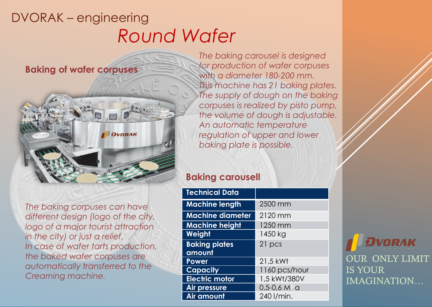**Baking of wafer corpuses**



*The baking corpuses can have different design (logo of the city, logo of a major tourist attraction in the city) or just a relief. In case of wafer tarts production, the baked wafer corpuses are automatically transferred to the Creaming machine.* 

*The baking carousel is designed for production of wafer corpuses with a diameter 180-200 mm. This machine has 21 baking plates. The supply of dough on the baking corpuses is realized by pisto pump, the volume of dough is adjustable. An automatic temperature regulation of upper and lower baking plate is possible.* 

#### **Baking carousell**

| <b>Technical Data</b>   |               |
|-------------------------|---------------|
| <b>Machine length</b>   | 2500 mm       |
| <b>Machine diameter</b> | 2120 mm       |
| <b>Machine height</b>   | 1250 mm       |
| Weight                  | 1450 kg       |
| <b>Baking plates</b>    | 21 pcs        |
| amount                  |               |
| Power                   | 21,5 kWt      |
| <b>Capacity</b>         | 1160 pcs/hour |
| <b>Electric motor</b>   | 1,5 kWt/380V  |
| <b>Air pressure</b>     | $0,5-0,6$ MPa |
| Air amount              | 240 I/min.    |

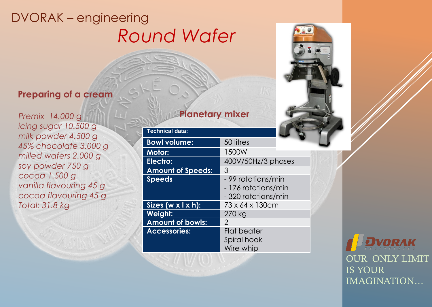#### **Preparing of a cream**

*Premix 14.000 g icing sugar 10.500 g milk powder 4.500 g 45% chocolate 3.000 g milled wafers 2.000 g soy powder 750 g cocoa 1.500 g vanilla flavouring 45 g cocoa flavouring 45 g Total: 31.8 kg*

### **Planetary mixer**

| <b>Technical data:</b>          |                     |
|---------------------------------|---------------------|
| <b>Bowl volume:</b>             | 50 litres           |
| <b>Motor:</b>                   | 1500W               |
| Electro:                        | 400V/50Hz/3 phases  |
| <b>Amount of Speeds:</b>        | 3                   |
| <b>Speeds</b>                   | - 99 rotations/min  |
|                                 | - 176 rotations/min |
|                                 | - 320 rotations/min |
| Sizes $(w \times 1 \times h)$ : | 73 x 64 x 130cm     |
| <b>Weight:</b>                  | 270 kg              |
| <b>Amount of bowls:</b>         | $\mathcal{P}$       |
| Accessories:                    | Flat beater         |
|                                 | Spiral hook         |
|                                 | Wire whip           |

**ORAK** OUR ONLY LIMIT IS YOUR IMAGINATION…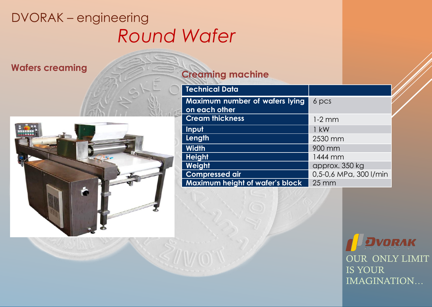

### **Wafers creaming <b>Creaming Creaming machine**

| 6 pcs                  |
|------------------------|
|                        |
| $1-2$ mm               |
| $1$ kW                 |
| 2530 mm                |
| 900 mm                 |
| 1444 mm                |
| approx. 350 kg         |
| 0,5-0,6 MPa, 300 l/min |
| $25 \, \mathrm{mm}$    |
|                        |

VORAK OUR ONLY LIMIT IS YOUR IMAGINATION…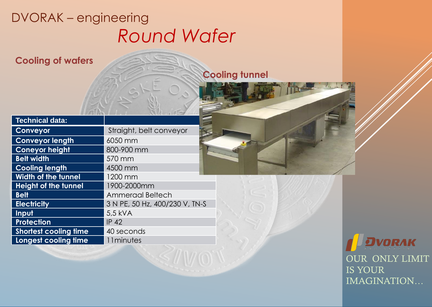**Cooling of wafers**

### **Cooling tunnel**

| <b>Technical data:</b>       |                                |
|------------------------------|--------------------------------|
| Conveyor                     | Straight, belt conveyor        |
| <b>Conveyor length</b>       | 6050 mm                        |
| <b>Coneyor height</b>        | 800-900 mm                     |
| <b>Belt width</b>            | 570 mm                         |
| <b>Cooling length</b>        | 4500 mm                        |
| <b>Width of the tunnel</b>   | 1200 mm                        |
| <b>Height of the tunnel</b>  | 1900-2000mm                    |
| <b>Belt</b>                  | <b>Ammeraal Beltech</b>        |
| <b>Electricity</b>           | 3 N PE, 50 Hz, 400/230 V, TN-S |
| Input                        | 5,5 kVA                        |
| <b>Protection</b>            | <b>IP 42</b>                   |
| <b>Shortest cooling time</b> | 40 seconds                     |
| Longest cooling time         | 11minutes                      |

VORAK OUR ONLY LIMIT IS YOUR IMAGINATION…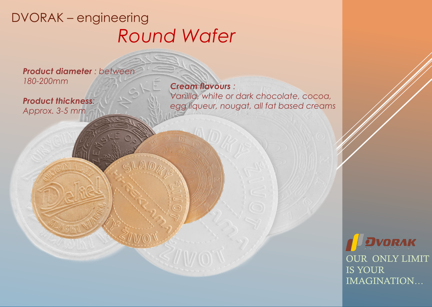**IK** 

*Product diameter : between 180-200mm* 

*Product thickness: Approx. 3-5 mm* 

*Cream flavours : Vanilla, white or dark chocolate, cocoa, egg liqueur, nougat, all fat based creams*

> VORAK OUR ONLY LIMIT IS YOUR IMAGINATION…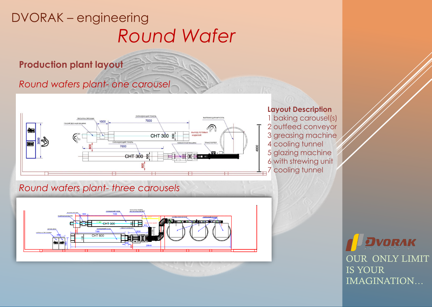**Production plant layout**

*Round wafers plant- one carousel*



**Layout Description** 1 baking carousel(s) 2 outfeed conveyor 3 greasing machine 4 cooling tunnel 5 glazing machine 6 with strewing unit 7 cooling tunnel

*Round wafers plant- three carousels*



DRAK OUR ONLY LIMIT IS YOUR IMAGINATION…